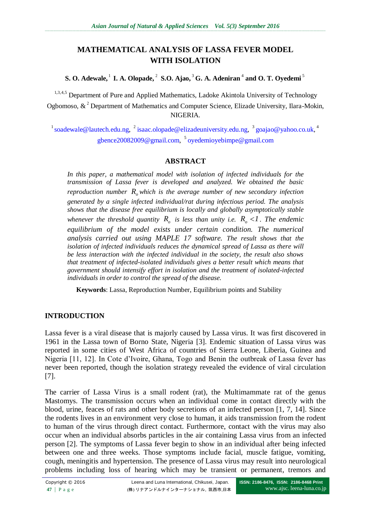# **MATHEMATICAL ANALYSIS OF LASSA FEVER MODEL WITH ISOLATION**

**S. O. Adewale,** 1 **I. A. Olopade,** 2 **S.O. Ajao,** 3 **G. A. Adeniran** 4 **and O. T. Oyedemi** 5

<sup>1,3,4,5</sup> Department of Pure and Applied Mathematics, Ladoke Akintola University of Technology Ogbomoso,  $\&^2$  Department of Mathematics and Computer Science, Elizade University, Ilara-Mokin, NIGERIA.

<sup>1</sup> [soadewale@lautech.edu.ng,](mailto:soadewale@lautech.edu.ng)  $\frac{2}{3}$  [isaac.olopade@elizadeuniversity.edu.ng,](mailto:isaac.olopade@elizadeuniversity.edu.ng)  $\frac{3}{3}$  [goajao@yahoo.co.uk,](mailto:goajao@yahoo.co.uk)  $\frac{4}{3}$ [gbence20082009@gmail.com,](mailto:gbence20082009@gmail.com) 5 [oyedemioyebimpe@gmail.com](mailto:oyedemioyebimpe@gmail.com)

## **ABSTRACT**

*In this paper, a mathematical model with isolation of infected individuals for the transmission of Lassa fever is developed and analyzed. We obtained the basic*  reproduction number  $R_0$  which is the average number of new secondary infection *generated by a single infected individual/rat during infectious period. The analysis shows that the disease free equilibrium is locally and globally asymptotically stable whenever the threshold quantity*  $R$ <sup>*o*</sup> *is less than unity i.e.*  $R$ <sup> $o$ *</sup> <1. The endemic*</sup> *equilibrium of the model exists under certain condition. The numerical analysis carried out using MAPLE 17 software. The result shows that the isolation of infected individuals reduces the dynamical spread of Lassa as there will be less interaction with the infected individual in the society, the result also shows that treatment of infected-isolated individuals gives a better result which means that government should intensify effort in isolation and the treatment of isolated-infected individuals in order to control the spread of the disease.*

**Keywords**: Lassa, Reproduction Number, Equilibrium points and Stability

# **INTRODUCTION**

Lassa fever is a viral disease that is majorly caused by Lassa virus. It was first discovered in 1961 in the Lassa town of Borno State, Nigeria [3]. Endemic situation of Lassa virus was reported in some cities of West Africa of countries of Sierra Leone, Liberia, Guinea and Nigeria [11, 12]. In Cote d'Ivoire, Ghana, Togo and Benin the outbreak of Lassa fever has never been reported, though the isolation strategy revealed the evidence of viral circulation [7].

The carrier of Lassa Virus is a small rodent (rat), the Multimammate rat of the genus Mastomys. The transmission occurs when an individual come in contact directly with the blood, urine, feaces of rats and other body secretions of an infected person [1, 7, 14]. Since the rodents lives in an environment very close to human, it aids transmission from the rodent to human of the virus through direct contact. Furthermore, contact with the virus may also occur when an individual absorbs particles in the air containing Lassa virus from an infected person [2]. The symptoms of Lassa fever begin to show in an individual after being infected between one and three weeks. Those symptoms include facial, muscle fatigue, vomiting, cough, meningitis and hypertension. The presence of Lassa virus may result into neurological problems including loss of hearing which may be transient or permanent, tremors and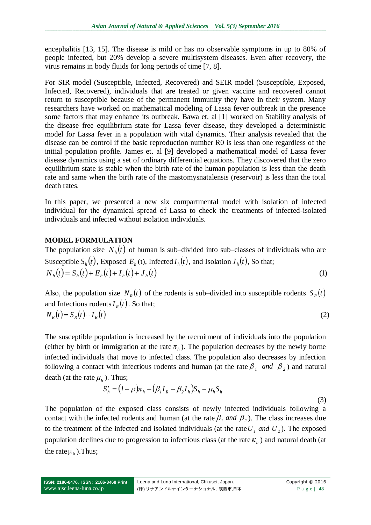encephalitis [13, 15]. The disease is mild or has no observable symptoms in up to 80% of people infected, but 20% develop a severe multisystem diseases. Even after recovery, the virus remains in body fluids for long periods of time [7, 8].

For SIR model (Susceptible, Infected, Recovered) and SEIR model (Susceptible, Exposed, Infected, Recovered), individuals that are treated or given vaccine and recovered cannot return to susceptible because of the permanent immunity they have in their system. Many researchers have worked on mathematical modeling of Lassa fever outbreak in the presence some factors that may enhance its outbreak. Bawa et. al [1] worked on Stability analysis of the disease free equilibrium state for Lassa fever disease, they developed a deterministic model for Lassa fever in a population with vital dynamics. Their analysis revealed that the disease can be control if the basic reproduction number R0 is less than one regardless of the initial population profile. James et. al [9] developed a mathematical model of Lassa fever disease dynamics using a set of ordinary differential equations. They discovered that the zero equilibrium state is stable when the birth rate of the human population is less than the death rate and same when the birth rate of the mastomysnatalensis (reservoir) is less than the total death rates.

In this paper, we presented a new six compartmental model with isolation of infected individual for the dynamical spread of Lassa to check the treatments of infected-isolated individuals and infected without isolation individuals.

# **MODEL FORMULATION**

The population size  $N_h(t)$  of human is sub–divided into sub–classes of individuals who are Susceptible  $S_h(t)$ , Exposed  $E_h(t)$ , Infected  $I_h(t)$ , and Isolation  $J_h(t)$ , So that;

$$
N_h(t) = S_h(t) + E_h(t) + I_h(t) + J_h(t)
$$
\n(1)

Also, the population size  $N_R(t)$  of the rodents is sub–divided into susceptible rodents  $S_R(t)$ and Infectious rodents  $I_R(t)$ . So that;

$$
N_R(t) = S_R(t) + I_R(t)
$$
\n<sup>(2)</sup>

The susceptible population is increased by the recruitment of individuals into the population (either by birth or immigration at the rate  $\pi_h$ ). The population decreases by the newly borne infected individuals that move to infected class. The population also decreases by infection following a contact with infectious rodents and human (at the rate  $\beta_1$  and  $\beta_2$ ) and natural death (at the rate  $\mu_h$ ). Thus;

$$
S'_{h} = (I - \rho)\pi_{h} - (\beta_{I}I_{R} + \beta_{2}I_{h})S_{h} - \mu_{h}S_{h}
$$
\n(3)

The population of the exposed class consists of newly infected individuals following a contact with the infected rodents and human (at the rate  $\beta_1$  *and*  $\beta_2$ ). The class increases due to the treatment of the infected and isolated individuals (at the rate  $U_1$  *and*  $U_2$ ). The exposed population declines due to progression to infectious class (at the rate  $\kappa_h$ ) and natural death (at the rate  $\mu_h$ ). Thus;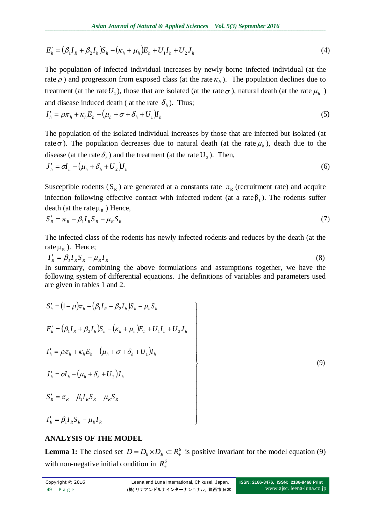$$
E'_{h} = (\beta_{1}I_{R} + \beta_{2}I_{h})S_{h} - (\kappa_{h} + \mu_{h})E_{h} + U_{1}I_{h} + U_{2}J_{h}
$$
\n(4)

The population of infected individual increases by newly borne infected individual (at the rate  $\rho$ ) and progression from exposed class (at the rate  $\kappa_h$ ). The population declines due to treatment (at the rate  $U_1$ ), those that are isolated (at the rate  $\sigma$ ), natural death (at the rate  $\mu_h$ ) and disease induced death ( at the rate  $\delta_h$ ). Thus;

$$
I'_{h} = \rho \pi_h + \kappa_h E_h - \left(\mu_h + \sigma + \delta_h + U_1\right) I_h
$$
\n<sup>(5)</sup>

The population of the isolated individual increases by those that are infected but isolated (at rate  $\sigma$ ). The population decreases due to natural death (at the rate  $\mu_h$ ), death due to the disease (at the rate  $\delta_h$ ) and the treatment (at the rate  $U_2$ ). Then,

$$
J'_h = \sigma I_h - (\mu_h + \delta_h + U_2) J_h \tag{6}
$$

Susceptible rodents (S<sub>R</sub>) are generated at a constants rate  $\pi_R$  (recruitment rate) and acquire infection following effective contact with infected rodent (at a rate  $\beta_1$ ). The rodents suffer death (at the rate  $\mu_R$ ) Hence,

$$
S_R' = \pi_R - \beta_1 I_R S_R - \mu_R S_R \tag{7}
$$

The infected class of the rodents has newly infected rodents and reduces by the death (at the rate  $\mu_R$ ). Hence;

$$
I'_R = \beta_I I_R S_R - \mu_R I_R \tag{8}
$$

In summary, combining the above formulations and assumptions together, we have the following system of differential equations. The definitions of variables and parameters used are given in tables 1 and 2.

$$
E'_{n} = (\beta_{1}I_{R} + \beta_{2}I_{n})S_{n} - (\kappa_{n} + \mu_{n})E_{n} + U_{1}I_{n} + U_{2}J_{n}
$$
\n(4)  
\nThe population of infected individual increases by newly borne infected individual (at the  
\nrate  $\rho$ ) and progression from exposed class (at the rate  $\kappa_{n}$ ). The population declines due to  
\ntreatment (at the rate  $U_{1}$ ), those that are isolated (at the rate  $\sigma_{n}$ ). Thus;  
\n $I'_{n} = \rho \pi_{n} + \kappa_{n}E_{n} - (\mu_{n} + \sigma_{n} + U_{1})I_{n}$ \n(5)  
\nThe population of the isolated individual increases by those that are infected but isolated (at  
\nrate of). The population decreases due to natural death (at the rate  $\mu_{n}$ ), death due to the  
\ndisease (at the rate  $\delta_{n}$ ) and the treatment (at the rate  $U_{2}$ ). Then,  
\n $I'_{n} = \sigma I_{n} - (\mu_{n} + \delta_{n} + U_{2})J_{n}$ \n(6)  
\nSusceptible rodents (S<sub>R</sub>) are generated at a constants rate  $\pi_{R}$  (recuitment rate) and acquire  
\ninflection following effective contact with infected rodent (at a rate  $\beta_{1}$ ). The rodents suffer  
\n $\sigma I'_{n} = \sigma I_{n} - (\mu_{n} + \delta_{n} + U_{2})J_{n}$ \n(7)  
\nSusceptible rodents (S<sub>R</sub>) are generated at a constants rate  $\pi_{R}$  (recutiment rate) and acquire  
\n $\kappa I'_{n} = \sigma I_{n} \sigma_{n} \sigma_{n} - \mu_{n} \sigma_{n}$ \n(7)  
\nThe infected class of the rodents has newly infected rodents and reduces by the death (at the  
\nrate  $\mu_{R}$ ). Hence;  
\n $I_{n} = \beta I_{n} \sigma_{n} \sigma_{n} + \mu_{n} I_{n}$ \n(8)  
\nIn summary, combining the above formulations and assumptions together, we have the  
\nrelive in tables 1 and 2.  
\n $S'_{n} = (1 - \rho) \pi_{n} - (\beta_{1} I_{n} + \beta_{2} I_{n}) S_{n} - \mu_{n} S_{n}$   
\n $E'_{n} = (\beta_{1} I_{n} + \beta_{2} I_{n}) S_{n} - (\kappa_{n} + \mu_{n}) E_{n} +$ 

### **ANALYSIS OF THE MODEL**

**Lemma 1:** The closed set  $D = D_h \times D_R \subset R_+^6$  is positive invariant for the model equation (9) with non-negative initial condition in  $R_+^6$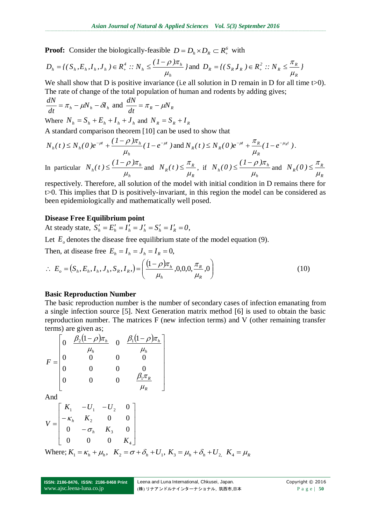**Proof:** Consider the biologically-feasible  $D = D_h \times D_R \subset R_+^6$  with

$$
D_h = \{ (S_h, E_h, I_h, J_h) \in R_+^4 : : N_h \le \frac{(1 - \rho)\pi_h}{\mu_h} \} \text{ and } D_R = \{ (S_R, I_R) \in R_+^2 : : N_R \le \frac{\pi_R}{\mu_R} \}
$$

We shall show that D is positive invariance (i.e all solution in D remain in D for all time t>0). The rate of change of the total population of human and rodents by adding gives;

$$
\frac{dN}{dt} = \pi_h - \mu N_h - \delta I_h \text{ and } \frac{dN}{dt} = \pi_R - \mu N_R
$$

Where  $N_h = S_h + E_h + I_h + J_h$  and  $N_R = S_R + I_R$ A standard comparison theorem [10] can be used to show that

$$
N_h(t) \le N_h(0) e^{-\mu t} + \frac{(1-\rho)\pi_h}{\mu_h} (1 - e^{-\mu t}) \text{ and } N_R(t) \le N_R(0) e^{-\mu t} + \frac{\pi_R}{\mu_R} (1 - e^{-\mu_R t}).
$$
  
In particular  $N_h(t) \le \frac{(1-\rho)\pi_h}{\mu_H}$  and  $N_R(t) \le \frac{\pi_R}{\mu_H}$ , if  $N_h(0) \le \frac{(1-\rho)\pi_h}{\mu_H}$  and  $N_R(0) \le \frac{\pi_R}{\mu_H}$ .

 $\mu_{_h}$  $\mu_{_R}$  $\mu_{_h}$  $\mu_{\scriptscriptstyle R}$ respectively. Therefore, all solution of the model with initial condition in D remains there for t>0. This implies that D is positively-invariant, in this region the model can be considered as been epidemiologically and mathematically well posed.

#### **Disease Free Equilibrium point**

At steady state,  $S'_h = E'_h = I'_h = J'_h = S'_h = I'_R = 0$ ,

Let  $E_{\rho}$  denotes the disease free equilibrium state of the model equation (9).

Then, at disease free  $E_h = I_h = J_h = I_R = 0$ ,

$$
\therefore E_o = (S_h, E_h, I_h, J_h, S_R, I_R) = \left(\frac{(1-\rho)\pi_h}{\mu_h}, 0, 0, 0, \frac{\pi_R}{\mu_R}, 0\right)
$$
(10)

#### **Basic Reproduction Number**

The basic reproduction number is the number of secondary cases of infection emanating from a single infection source [5]. Next Generation matrix method [6] is used to obtain the basic reproduction number. The matrices F (new infection terms) and V (other remaining transfer terms) are given as;

$$
F = \begin{bmatrix} 0 & \frac{\beta_2 (1-\rho) \pi_h}{\mu_h} & 0 & \frac{\beta_1 (1-\rho) \pi_h}{\mu_h} \\ 0 & 0 & 0 & 0 \\ 0 & 0 & 0 & 0 \\ 0 & 0 & 0 & \frac{\beta_1 \pi_R}{\mu_R} \end{bmatrix}
$$

And

$$
V = \begin{bmatrix} K_1 & -U_1 & -U_2 & 0 \\ -\kappa_h & K_2 & 0 & 0 \\ 0 & -\sigma_h & K_3 & 0 \\ 0 & 0 & 0 & K_4 \end{bmatrix}
$$
  
Where:  $K = \kappa + U_1 K_2 = \sigma_1 \delta + U_1 K_1 = U_1 \delta + U_2$ 

Where;  $K_1 = \kappa_h + \mu_h$ ,  $K_2 = \sigma + \delta_h + U_1$ ,  $K_3 = \mu_h + \delta_h + U_2$ ,  $K_4 = \mu_h$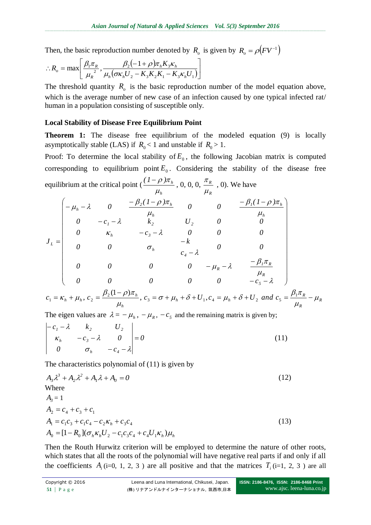Then, the basic reproduction number denoted by  $R_o$  is given by  $R_o = \rho (FV^{-1})$ 

$$
\therefore R_o = \max \left[ \frac{\beta_1 \pi_R}{\mu_R^2}, \frac{\beta_2 (-1+\rho) \pi_h K_3 \kappa_h}{\mu_h (\sigma \kappa_h U_2 - K_3 K_2 K_1 - K_3 \kappa_h U_1)} \right]
$$

The threshold quantity  $R$ <sup>*o*</sup> is the basic reproduction number of the model equation above, which is the average number of new case of an infection caused by one typical infected rat/ human in a population consisting of susceptible only.

#### **Local Stability of Disease Free Equilibrium Point**

**Theorem 1:** The disease free equilibrium of the modeled equation (9) is locally asymptotically stable (LAS) if  $R_0 < 1$  and unstable if  $R_0 > 1$ .

Proof: To determine the local stability of  $E_0$ , the following Jacobian matrix is computed corresponding to equilibrium point  $E_0$ . Considering the stability of the disease free equilibrium at the critical point ( *h*  $(I - \rho) \pi$ <sub>*h*</sub>  $\mu$  $\frac{(n-\rho)\pi_h}{n}$ , 0, 0, 0, *R R*  $\mu$  $\frac{\pi_R}{\pi}$ , 0). We have

$$
J_{L} = \begin{pmatrix}\n-\mu_{h} - \lambda & 0 & \frac{-\beta_{2}(1-\rho)\pi_{h}}{\mu_{h}} & 0 & 0 & \frac{-\beta_{1}(1-\rho)\pi_{h}}{\mu_{h}} \\
0 & -c_{1} - \lambda & k_{2} & U_{2} & 0 & 0 \\
0 & \kappa_{h} & -c_{3} - \lambda & 0 & 0 & 0 \\
0 & 0 & \sigma_{h} & -k & 0 & 0 \\
0 & 0 & 0 & 0 & -\mu_{R} - \lambda & \frac{-\beta_{1}\pi_{R}}{\mu_{R}} \\
0 & 0 & 0 & 0 & 0 & -c_{5} - \lambda\n\end{pmatrix}
$$
\n
$$
c_{1} = K + \mu_{1} c_{2} = \frac{\beta_{2}(1-\rho)\pi_{h}}{2} c_{1} = \frac{\pi_{1}C}{2} + \mu_{1} + \delta + U_{1} c_{2} = \mu_{1} + \delta + U_{1} and c_{3} = \frac{\beta_{1}\pi_{R}}{2} = \mu_{1}
$$

$$
c_1 = \kappa_h + \mu_h, \ c_2 = \frac{\beta_2 (1 - \rho) \pi_h}{\mu_h}, \ c_3 = \sigma + \mu_h + \delta + U_1, \ c_4 = \mu_h + \delta + U_2 \ \ and \ \ c_5 = \frac{\beta_1 \pi_R}{\mu_R} - \mu_R
$$

The eigen values are  $\lambda = -\mu_h$ ,  $-\mu_R$ ,  $-c_s$  and the remaining matrix is given by;  $\mathbb{R}^2$ 

$$
\begin{vmatrix} -c_1 - \lambda & k_2 & U_2 \\ \kappa_h & -c_3 - \lambda & 0 \\ 0 & \sigma_h & -c_4 - \lambda \end{vmatrix} = 0
$$
 (11)

The characteristics polynomial of (11) is given by

$$
A_{3}\lambda^{3} + A_{2}\lambda^{2} + A_{1}\lambda + A_{0} = 0
$$
  
\nWhere  
\n
$$
A_{3} = 1
$$
  
\n
$$
A_{2} = c_{4} + c_{3} + c_{1}
$$
  
\n
$$
A_{1} = c_{1}c_{3} + c_{1}c_{4} - c_{2}\kappa_{h} + c_{3}c_{4}
$$
  
\n
$$
A_{0} = [1 - R_{0}](\sigma_{h}\kappa_{h}U_{2} - c_{1}c_{3}c_{4} + c_{4}U_{1}\kappa_{h})\mu_{h}
$$
\n(13)

Then the Routh Hurwitz criterion will be employed to determine the nature of other roots, which states that all the roots of the polynomial will have negative real parts if and only if all the coefficients  $A_i$  (i=0, 1, 2, 3) are all positive and that the matrices  $T_i$  (i=1, 2, 3) are all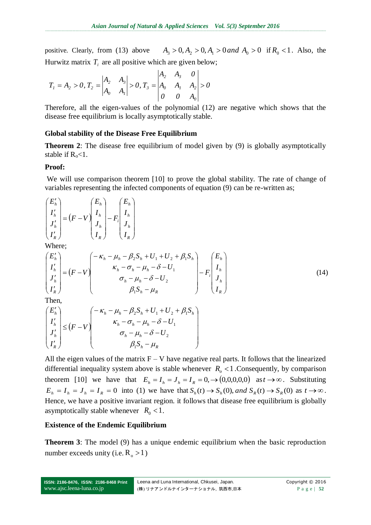positive. Clearly, from (13) above  $A_3 > 0, A_2 > 0, A_1 > 0$  and  $A_0 > 0$  if  $R_0 < 1$ . Also, the Hurwitz matrix  $T_i$  are all positive which are given below;

$$
T_1 = A_2 > 0, T_2 = \begin{vmatrix} A_2 & A_3 \\ A_0 & A_1 \end{vmatrix} > 0, T_3 = \begin{vmatrix} A_2 & A_3 & 0 \\ A_0 & A_1 & A_2 \\ 0 & 0 & A_0 \end{vmatrix} > 0
$$

Therefore, all the eigen-values of the polynomial (12) are negative which shows that the disease free equilibrium is locally asymptotically stable.

#### **Global stability of the Disease Free Equilibrium**

**Theorem 2**: The disease free equilibrium of model given by (9) is globally asymptotically stable if  $R_0 < 1$ .

#### **Proof:**

We will use comparison theorem [10] to prove the global stability. The rate of change of variables representing the infected components of equation (9) can be re-written as;

$$
\begin{pmatrix} E'_h \\ I'_h \\ J'_h \\ I'_R \end{pmatrix} = (F - V) \begin{pmatrix} E_h \\ I_h \\ J_h \\ I_R \end{pmatrix} - F_i \begin{pmatrix} E_h \\ I_h \\ J_h \\ I_R \end{pmatrix}
$$

Where;

$$
\begin{pmatrix} E'_{h} \\ I'_{h} \\ J'_{h} \\ I'_{R} \end{pmatrix} = (F - V) \begin{pmatrix} -\kappa_{h} - \mu_{h} - \beta_{2} S_{h} + U_{1} + U_{2} + \beta_{1} S_{h} \\ \kappa_{h} - \sigma_{h} - \mu_{h} - \delta - U_{1} \\ \sigma_{h} - \mu_{h} - \delta - U_{2} \\ \beta_{1} S_{h} - \mu_{R} \end{pmatrix} - F_{i} \begin{pmatrix} E_{h} \\ I_{h} \\ J_{h} \\ I_{R} \end{pmatrix}
$$
(14)

Then,

$$
\begin{pmatrix} E'_h \\ I'_h \\ J'_h \\ I'_R \end{pmatrix} \leq (F - V) \begin{pmatrix} -\kappa_h - \mu_h - \beta_2 S_h + U_1 + U_2 + \beta_1 S_h \\ \kappa_h - \sigma_h - \mu_h - \delta - U_1 \\ \sigma_h - \mu_h - \delta - U_2 \\ \beta_1 S_h - \mu_R \end{pmatrix}
$$

All the eigen values of the matrix  $F - V$  have negative real parts. It follows that the linearized differential inequality system above is stable whenever  $R_{o}$  < 1. Consequently, by comparison theorem [10] we have that  $E_h = I_h = J_h = I_R = 0, \rightarrow (0,0,0,0,0)$  as  $t \rightarrow \infty$ . Substituting  $E_h = I_h = J_h = I_R = 0$  into (1) we have that  $S_h(t) \to S_h(0)$ , and  $S_R(t) \to S_R(0)$  as  $t \to \infty$ . Hence, we have a positive invariant region. it follows that disease free equilibrium is globally asymptotically stable whenever  $R_0 < 1$ .

 $\overline{\phantom{a}}$  $\overline{\phantom{a}}$  $\overline{\phantom{a}}$  $\overline{\phantom{a}}$  $\overline{\phantom{a}}$ 

 $\setminus$ 

J

### **Existence of the Endemic Equilibrium**

**Theorem 3**: The model (9) has a unique endemic equilibrium when the basic reproduction number exceeds unity (i.e.  $R_0 > 1$ )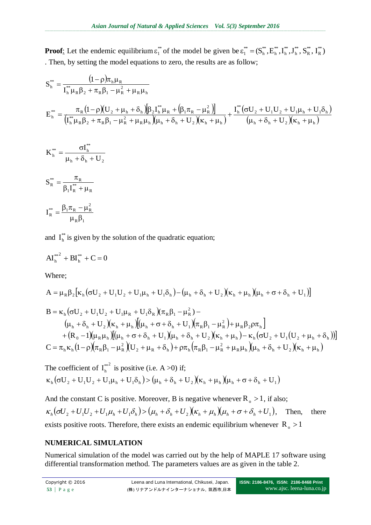**Proof:** Let the endemic equilibrium  $\varepsilon_1^*$  $\varepsilon_1^*$  of the model be given be  $\varepsilon_1^* = (S_h^*, E_h^*, I_h^*, J_h^*, S_R^*, I_R^*)$ R \*\* R \*\* h \*\* h \*\* h \*\* h  $\varepsilon_1^{**} =$ . Then, by setting the model equations to zero, the results are as follow;

$$
S_{h}^{**} = \frac{(1-\rho)\pi_{h}\mu_{R}}{I_{h}^{**}\mu_{R}\beta_{2} + \pi_{R}\beta_{1} - \mu_{R}^{2} + \mu_{R}\mu_{h}}
$$
  
\n
$$
E_{h}^{**} = \frac{\pi_{R}(1-\rho)(U_{2} + \mu_{h} + \delta_{h})[\beta_{2}I_{h}^{**}\mu_{R} + (\beta_{1}\pi_{R} - \mu_{R}^{2})]}{(I_{h}^{**}\mu_{R}\beta_{2} + \pi_{R}\beta_{1} - \mu_{R}^{2} + \mu_{R}\mu_{h})(\mu_{h} + \delta_{h} + U_{2})(\kappa_{h} + \mu_{h})} + \frac{I_{h}^{**}(\sigma U_{2} + U_{1}U_{2} + U_{1}\mu_{h} + U_{1}\delta_{h})}{(\mu_{h} + \delta_{h} + U_{2})(\kappa_{h} + \mu_{h})}
$$

$$
K_{h}^{**} = \frac{\sigma I_{h}^{**}}{\mu_{h} + \delta_{h} + U_{2}}
$$

$$
S_{R}^{**} = \frac{\pi_{R}}{\beta_{1}I_{R}^{**} + \mu_{R}}
$$

$$
I^{**} = \frac{\beta_{1}\pi_{R} - \mu_{R}^{2}}{\beta_{1}\pi_{R} - \mu_{R}^{2}}
$$

$$
I_R^{**} = \frac{p_1 \kappa_R - \mu_R}{\mu_R \beta_1}
$$

and  $I_h^*$  $I_h^*$  is given by the solution of the quadratic equation;

$$
AI_h^{**^2} + BI_h^{**} + C = 0
$$

Where;

$$
A = \mu_R \beta_2 [\kappa_h (\sigma U_2 + U_1 U_2 + U_1 \mu_h + U_1 \delta_h) - (\mu_h + \delta_h + U_2) (\kappa_h + \mu_h) (\mu_h + \sigma + \delta_h + U_1)]
$$
  
\n
$$
B = \kappa_h (\sigma U_2 + U_1 U_2 + U_1 \mu_R + U_1 \delta_R) (\pi_R \beta_1 - \mu_R^2) -
$$
  
\n
$$
(\mu_h + \delta_h + U_2) (\kappa_h + \mu_h) [(\mu_h + \sigma + \delta_h + U_1) (\pi_R \beta_1 - \mu_R^2) + \mu_R \beta_2 \rho \pi_h]
$$
  
\n
$$
+ (R_0 - 1) (\mu_R \mu_h) [(\mu_h + \sigma + \delta_h + U_1) (\mu_h + \delta_h + U_2) (\kappa_h + \mu_h) - \kappa_h (\sigma U_2 + U_1 (U_2 + \mu_h + \delta_h))]
$$
  
\n
$$
C = \pi_h \kappa_h (1 - \rho) (\pi_R \beta_1 - \mu_R^2) (U_2 + \mu_R + \delta_h) + \rho \pi_h (\pi_R \beta_1 - \mu_R^2 + \mu_R \mu_h) (\mu_h + \delta_h + U_2) (\kappa_h + \mu_h)
$$

The coefficient of 
$$
I_h^{**2}
$$
 is positive (i.e. A >0) if;  
\n
$$
\kappa_h(\sigma U_2 + U_1 U_2 + U_1 \mu_h + U_1 \delta_h) > (\mu_h + \delta_h + U_2)(\kappa_h + \mu_h)(\mu_h + \sigma + \delta_h + U_1)
$$

And the constant C is positive. Moreover, B is negative whenever  $R_0 > 1$ , if also;  $\kappa_h(\sigma U_2 + U_1 U_2 + U_1 \mu_h + U_1 \delta_h) > (\mu_h + \delta_h + U_2)(\kappa_h + \mu_h)(\mu_h + \sigma + \delta_h + U_1)$ Then, there exists positive roots. Therefore, there exists an endemic equilibrium whenever  $R_0 > 1$ 

# **NUMERICAL SIMULATION**

Numerical simulation of the model was carried out by the help of MAPLE 17 software using differential transformation method. The parameters values are as given in the table 2.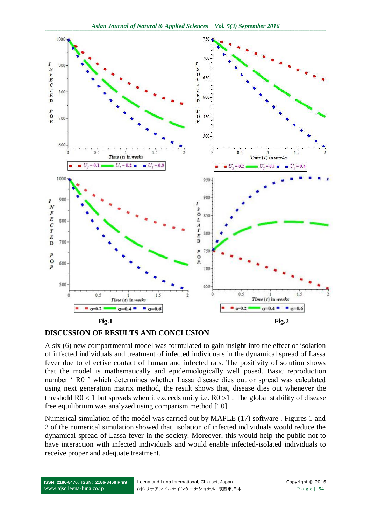

#### **DISCUSSION OF RESULTS AND CONCLUSION**

A six (6) new compartmental model was formulated to gain insight into the effect of isolation of infected individuals and treatment of infected individuals in the dynamical spread of Lassa fever due to effective contact of human and infected rats. The positivity of solution shows that the model is mathematically and epidemiologically well posed. Basic reproduction number ' R0 ' which determines whether Lassa disease dies out or spread was calculated using next generation matrix method, the result shows that, disease dies out whenever the threshold  $R0 < 1$  but spreads when it exceeds unity i.e.  $R0 > 1$ . The global stability of disease free equilibrium was analyzed using comparism method [10].

Numerical simulation of the model was carried out by MAPLE (17) software . Figures 1 and 2 of the numerical simulation showed that, isolation of infected individuals would reduce the dynamical spread of Lassa fever in the society. Moreover, this would help the public not to have interaction with infected individuals and would enable infected-isolated individuals to receive proper and adequate treatment.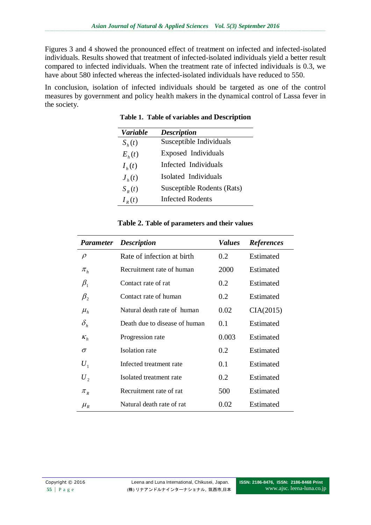Figures 3 and 4 showed the pronounced effect of treatment on infected and infected-isolated individuals. Results showed that treatment of infected-isolated individuals yield a better result compared to infected individuals. When the treatment rate of infected individuals is 0.3, we have about 580 infected whereas the infected-isolated individuals have reduced to 550.

In conclusion, isolation of infected individuals should be targeted as one of the control measures by government and policy health makers in the dynamical control of Lassa fever in the society.

| Variable   | <b>Description</b>         |
|------------|----------------------------|
| $S_h(t)$   | Susceptible Individuals    |
| $E_{h}(t)$ | Exposed Individuals        |
| $I_{h}(t)$ | Infected Individuals       |
| $J_{h}(t)$ | Isolated Individuals       |
| $S_R(t)$   | Susceptible Rodents (Rats) |
| $I_R(t)$   | Infected Rodents           |

**Table 1. Table of variables and Description**

| Parameter                       | <b>Description</b>            | <b>Values</b> | <b>References</b> |
|---------------------------------|-------------------------------|---------------|-------------------|
| $\rho$                          | Rate of infection at birth    | 0.2           | Estimated         |
| $\pi_{_h}$                      | Recruitment rate of human     | 2000          | Estimated         |
| $\beta_1$                       | Contact rate of rat           | 0.2           | Estimated         |
| $\beta_{2}$                     | Contact rate of human         | 0.2           | Estimated         |
| $\mu_{h}$                       | Natural death rate of human   | 0.02          | CIA(2015)         |
| $\delta_{\scriptscriptstyle h}$ | Death due to disease of human | 0.1           | Estimated         |
| $K_h$                           | Progression rate              | 0.003         | Estimated         |
| σ                               | Isolation rate                | 0.2           | Estimated         |
| $U_1$                           | Infected treatment rate       | 0.1           | Estimated         |
| $U_{2}$                         | Isolated treatment rate       | 0.2           | Estimated         |
| $\pi_{R}$                       | Recruitment rate of rat       | 500           | Estimated         |
| $\mu_{_R}$                      | Natural death rate of rat     | 0.02          | Estimated         |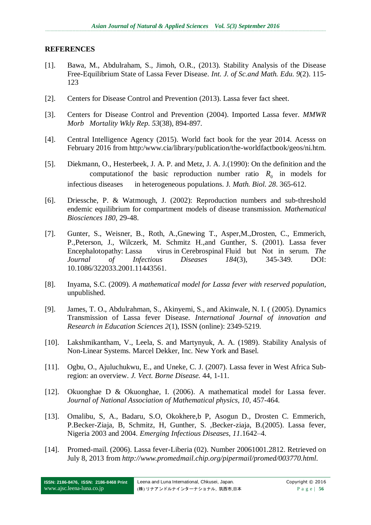#### **REFERENCES**

- [1]. Bawa, M., Abdulraham, S., Jimoh, O.R., (2013). Stability Analysis of the Disease Free-Equilibrium State of Lassa Fever Disease. *Int. J. of Sc.and Math. Edu. 9*(2). 115- 123
- [2]. Centers for Disease Control and Prevention (2013). Lassa fever fact sheet.
- [3]. Centers for Disease Control and Prevention (2004). Imported Lassa fever. *MMWR Morb Mortality Wkly Rep. 53*(38), 894-897.
- [4]. Central Intelligence Agency (2015). World fact book for the year 2014. Acesss on February 2016 from http:/www.cia/library/publication/the-worldfactbook/geos/ni.htm.
- [5]. Diekmann, O., Hesterbeek, J. A. P. and Metz, J. A. J.(1990): On the definition and the computation of the basic reproduction number ratio  $R_0$  in models for infectious diseases in heterogeneous populations. J*. Math. Biol. 28*. 365-612.
- [6]. Driessche, P. & Watmough, J. (2002): Reproduction numbers and sub-threshold endemic equilibrium for compartment models of disease transmission. *Mathematical Biosciences 180*, 29-48.
- [7]. Gunter, S., Weisner, B., Roth, A.,Gnewing T., Asper,M.,Drosten, C., Emmerich, P.,Peterson, J., Wilczerk, M. Schmitz H.,and Gunther, S. (2001). Lassa fever Encephalotopathy: Lassa virus in Cerebrospinal Fluid but Not in serum. *The Journal of Infectious Diseases 184*(3), 345-349. DOI: 10.1086/322033.2001.11443561.
- [8]. Inyama, S.C. (2009). *A mathematical model for Lassa fever with reserved population*, unpublished.
- [9]. James, T. O., Abdulrahman, S., Akinyemi, S., and Akinwale, N. I. ( (2005). Dynamics Transmission of Lassa fever Disease*. International Journal of innovation and Research in Education Sciences 2*(1), ISSN (online): 2349-5219.
- [10]. Lakshmikantham, V., Leela, S. and Martynyuk, A. A. (1989). Stability Analysis of Non-Linear Systems. Marcel Dekker, Inc. New York and Basel.
- [11]. Ogbu, O., Ajuluchukwu, E., and Uneke, C. J. (2007). Lassa fever in West Africa Subregion: an overview. *J. Vect. Borne Disease.* 44, 1-11.
- [12]. Okuonghae D & Okuonghae, I. (2006). A mathematical model for Lassa fever. *Journal of National Association of Mathematical physics, 10*, 457-464.
- [13]. Omalibu, S, A., Badaru, S.O, Okokhere,b P, Asogun D., Drosten C. Emmerich, P.Becker-Ziaja, B, Schmitz, H, Gunther, S. ,Becker-ziaja, B.(2005). Lassa fever, Nigeria 2003 and 2004. *Emerging Infectious Diseases, 11*.1642–4.
- [14]. Promed-mail. (2006). Lassa fever-Liberia (02). Number 20061001.2812. Retrieved on July 8, 2013 from *[http://www.promedmail.chip.org/pipermail/promed/003770.html.](http://www.promedmail.chip.org/pipermail/promed/003770.html)*